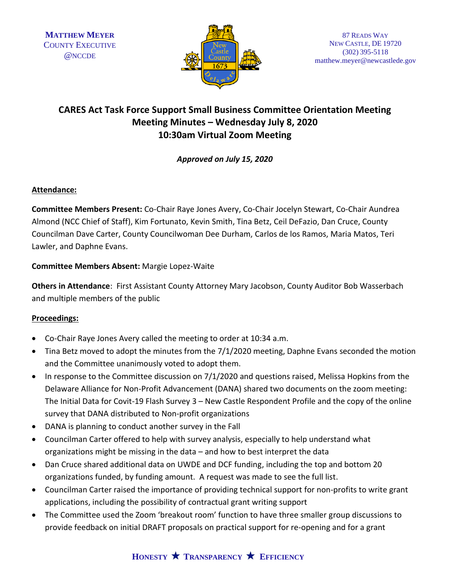

# **CARES Act Task Force Support Small Business Committee Orientation Meeting Meeting Minutes – Wednesday July 8, 2020 10:30am Virtual Zoom Meeting**

*Approved on July 15, 2020*

## **Attendance:**

**Committee Members Present:** Co-Chair Raye Jones Avery, Co-Chair Jocelyn Stewart, Co-Chair Aundrea Almond (NCC Chief of Staff), Kim Fortunato, Kevin Smith, Tina Betz, Ceil DeFazio, Dan Cruce, County Councilman Dave Carter, County Councilwoman Dee Durham, Carlos de los Ramos, Maria Matos, Teri Lawler, and Daphne Evans.

## **Committee Members Absent:** Margie Lopez-Waite

**Others in Attendance**: First Assistant County Attorney Mary Jacobson, County Auditor Bob Wasserbach and multiple members of the public

# **Proceedings:**

- Co-Chair Raye Jones Avery called the meeting to order at 10:34 a.m.
- Tina Betz moved to adopt the minutes from the 7/1/2020 meeting, Daphne Evans seconded the motion and the Committee unanimously voted to adopt them.
- In response to the Committee discussion on 7/1/2020 and questions raised, Melissa Hopkins from the Delaware Alliance for Non-Profit Advancement (DANA) shared two documents on the zoom meeting: The Initial Data for Covit-19 Flash Survey 3 – New Castle Respondent Profile and the copy of the online survey that DANA distributed to Non-profit organizations
- DANA is planning to conduct another survey in the Fall
- Councilman Carter offered to help with survey analysis, especially to help understand what organizations might be missing in the data – and how to best interpret the data
- Dan Cruce shared additional data on UWDE and DCF funding, including the top and bottom 20 organizations funded, by funding amount. A request was made to see the full list.
- Councilman Carter raised the importance of providing technical support for non-profits to write grant applications, including the possibility of contractual grant writing support
- The Committee used the Zoom 'breakout room' function to have three smaller group discussions to provide feedback on initial DRAFT proposals on practical support for re-opening and for a grant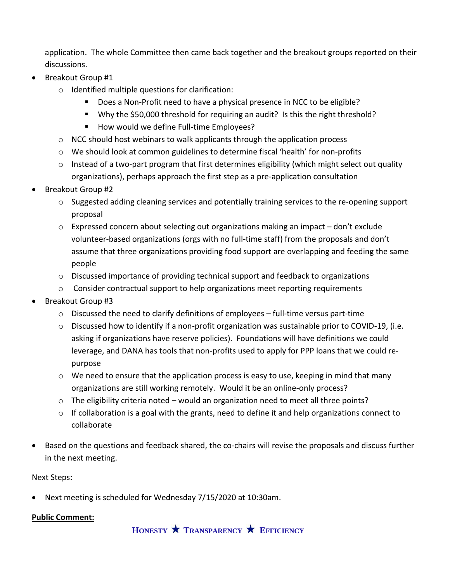application. The whole Committee then came back together and the breakout groups reported on their discussions.

- Breakout Group #1
	- o Identified multiple questions for clarification:
		- Does a Non-Profit need to have a physical presence in NCC to be eligible?
		- Why the \$50,000 threshold for requiring an audit? Is this the right threshold?
		- How would we define Full-time Employees?
	- $\circ$  NCC should host webinars to walk applicants through the application process
	- o We should look at common guidelines to determine fiscal 'health' for non-profits
	- $\circ$  Instead of a two-part program that first determines eligibility (which might select out quality organizations), perhaps approach the first step as a pre-application consultation
- Breakout Group #2
	- o Suggested adding cleaning services and potentially training services to the re-opening support proposal
	- $\circ$  Expressed concern about selecting out organizations making an impact don't exclude volunteer-based organizations (orgs with no full-time staff) from the proposals and don't assume that three organizations providing food support are overlapping and feeding the same people
	- $\circ$  Discussed importance of providing technical support and feedback to organizations
	- $\circ$  Consider contractual support to help organizations meet reporting requirements
- Breakout Group #3
	- $\circ$  Discussed the need to clarify definitions of employees full-time versus part-time
	- $\circ$  Discussed how to identify if a non-profit organization was sustainable prior to COVID-19, (i.e. asking if organizations have reserve policies). Foundations will have definitions we could leverage, and DANA has tools that non-profits used to apply for PPP loans that we could repurpose
	- o We need to ensure that the application process is easy to use, keeping in mind that many organizations are still working remotely. Would it be an online-only process?
	- $\circ$  The eligibility criteria noted would an organization need to meet all three points?
	- $\circ$  If collaboration is a goal with the grants, need to define it and help organizations connect to collaborate
- Based on the questions and feedback shared, the co-chairs will revise the proposals and discuss further in the next meeting.

## Next Steps:

• Next meeting is scheduled for Wednesday 7/15/2020 at 10:30am.

## **Public Comment:**

**HONESTY TRANSPARENCY EFFICIENCY**